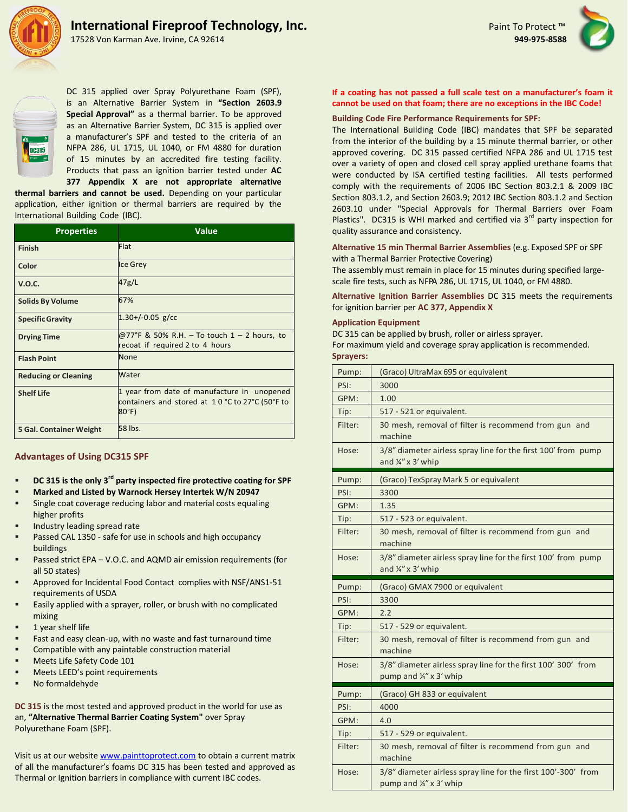

17528 Von Karman Ave. Irvine, CA 92614





DC 315 applied over Spray Polyurethane Foam (SPF), is an Alternative Barrier System in **"Section 2603.9 Special Approval"** as a thermal barrier. To be approved as an Alternative Barrier System, DC 315 is applied over a manufacturer's SPF and tested to the criteria of an NFPA 286, UL 1715, UL 1040, or FM 4880 for duration of 15 minutes by an accredited fire testing facility. Products that pass an ignition barrier tested under **AC 377 Appendix X are not appropriate alternative**

**thermal barriers and cannot be used.** Depending on your particular application, either ignition or thermal barriers are required by the International Building Code (IBC).

| <b>Properties</b>           | <b>Value</b>                                                                                            |
|-----------------------------|---------------------------------------------------------------------------------------------------------|
| <b>Finish</b>               | Flat                                                                                                    |
| Color                       | <b>Ice Grey</b>                                                                                         |
| V.O.C.                      | 47g/L                                                                                                   |
| <b>Solids By Volume</b>     | 67%                                                                                                     |
| <b>Specific Gravity</b>     | $1.30+/-0.05$ g/cc                                                                                      |
| <b>Drying Time</b>          | @77°F & 50% R.H. – To touch 1 – 2 hours, to<br>recoat if required 2 to 4 hours                          |
| <b>Flash Point</b>          | <b>None</b>                                                                                             |
| <b>Reducing or Cleaning</b> | Water                                                                                                   |
| <b>Shelf Life</b>           | 1 year from date of manufacture in unopened<br>containers and stored at 10 °C to 27°C (50°F to<br>80°F) |
| 5 Gal. Container Weight     | 58 lbs.                                                                                                 |

## **Advantages of Using DC315 SPF**

- **DC 315 is the only 3rd party inspected fire protective coating for SPF**
- **Marked and Listed by Warnock Hersey Intertek W/N 20947**
- Single coat coverage reducing labor and material costs equaling higher profits
- Industry leading spread rate
- Passed CAL 1350 safe for use in schools and high occupancy buildings
- Passed strict EPA V.O.C. and AQMD air emission requirements (for all 50 states)
- Approved for Incidental Food Contact complies with NSF/ANS1-51 requirements of USDA
- Easily applied with a sprayer, roller, or brush with no complicated mixing
- 1 year shelf life
- Fast and easy clean-up, with no waste and fast turnaround time
- Compatible with any paintable construction material
- Meets Life Safety Code 101
- Meets LEED's point requirements
- No formaldehyde

**DC 315** is the most tested and approved product in the world for use as an, **"Alternative Thermal Barrier Coating System"** over Spray Polyurethane Foam (SPF).

Visit us at our website [www.painttoprotect.com](http://www.painttoprotect.com/) to obtain a current matrix of all the manufacturer's foams DC 315 has been tested and approved as Thermal or Ignition barriers in compliance with current IBC codes.

# **If a coating has not passed a full scale test on a manufacturer's foam it cannot be used on that foam; there are no exceptions in the IBC Code!**

# **Building Code Fire Performance Requirements for SPF:**

The International Building Code (IBC) mandates that SPF be separated from the interior of the building by a 15 minute thermal barrier, or other approved covering. DC 315 passed certified NFPA 286 and UL 1715 test over a variety of open and closed cell spray applied urethane foams that were conducted by ISA certified testing facilities. All tests performed comply with the requirements of 2006 IBC Section 803.2.1 & 2009 IBC Section 803.1.2, and Section 2603.9; 2012 IBC Section 803.1.2 and Section 2603.10 under "Special Approvals for Thermal Barriers over Foam Plastics". DC315 is WHI marked and certified via 3<sup>rd</sup> party inspection for quality assurance and consistency.

**Alternative 15 min Thermal Barrier Assemblies** (e.g. Exposed SPF or SPF with a Thermal Barrier Protective Covering)

The assembly must remain in place for 15 minutes during specified largescale fire tests, such as NFPA 286, UL 1715, UL 1040, or FM 4880.

**Alternative Ignition Barrier Assemblies** DC 315 meets the requirements for ignition barrier per **AC 377, Appendix X**

### **Application Equipment**

DC 315 can be applied by brush, roller or airless sprayer.

For maximum yield and coverage spray application is recommended. **Sprayers:**

| Pump:   | (Graco) UltraMax 695 or equivalent                                                             |
|---------|------------------------------------------------------------------------------------------------|
| PSI:    | 3000                                                                                           |
| GPM:    | 1.00                                                                                           |
| Tip:    | 517 - 521 or equivalent.                                                                       |
| Filter: | 30 mesh, removal of filter is recommend from gun and<br>machine                                |
| Hose:   | 3/8" diameter airless spray line for the first 100' from pump<br>and $\frac{1}{4}$ " x 3' whip |
| Pump:   | (Graco) TexSpray Mark 5 or equivalent                                                          |
| PSI:    | 3300                                                                                           |
| GPM:    | 1.35                                                                                           |
| Tip:    | 517 - 523 or equivalent.                                                                       |
| Filter: | 30 mesh, removal of filter is recommend from gun and<br>machine                                |
| Hose:   | 3/8" diameter airless spray line for the first 100' from pump<br>and $\frac{1}{4}$ " x 3' whip |
|         |                                                                                                |
| Pump:   | (Graco) GMAX 7900 or equivalent                                                                |
| PSI:    | 3300                                                                                           |
| GPM:    | 2.2                                                                                            |
| Tip:    | 517 - 529 or equivalent.                                                                       |
| Filter: | 30 mesh, removal of filter is recommend from gun and<br>machine                                |
| Hose:   | 3/8" diameter airless spray line for the first 100' 300' from<br>pump and ¼" x 3' whip         |
| Pump:   | (Graco) GH 833 or equivalent                                                                   |
| PSI:    | 4000                                                                                           |
| GPM:    | 4.0                                                                                            |
| Tip:    | 517 - 529 or equivalent.                                                                       |
| Filter: | 30 mesh, removal of filter is recommend from gun and<br>machine                                |